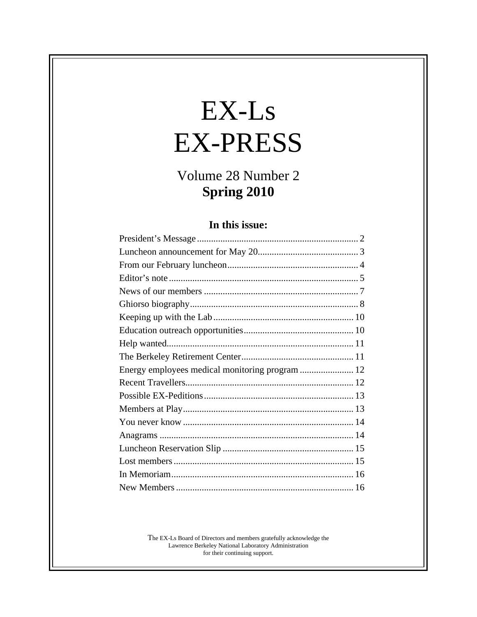# $EX-Ls$ EX-PRESS

# Volume 28 Number 2<br>Spring 2010 **Spring 2010**

#### **In this issue:**

| President's Message                         |  |
|---------------------------------------------|--|
| Luncheon announcement for May 20            |  |
| From our February luncheon                  |  |
| Editor's note                               |  |
| News of our members.                        |  |
| Ghiorso biography.                          |  |
| Keeping up with the Lab.                    |  |
| Education outreach opportunities            |  |
| Help wanted.                                |  |
| The Berkeley Retirement Center              |  |
| Energy employees medical monitoring program |  |
| Recent Travellers                           |  |
| Possible EX-Peditions.                      |  |
| Members at Play                             |  |
| You never know.                             |  |
| Anagrams                                    |  |
| Luncheon Reservation Slip                   |  |
| Lost members                                |  |
| In Memoriam.                                |  |
| New Members.                                |  |

The EX-Ls Board of Directors and members gratefully acknowledge the Lawrence Berkeley National Laboratory Administration for their continuing support.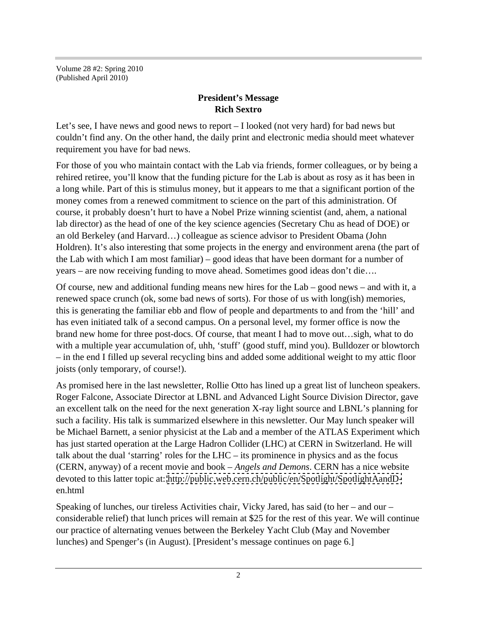Volume 28 #2: Spring 2010 (Published April 2010)

#### **President's Message Rich Sextro**

Let's see, I have news and good news to report – I looked (not very hard) for bad news but couldn't find any. On the other hand, the daily print and electronic media should meet whatever requirement you have for bad news.

For those of you who maintain contact with the Lab via friends, former colleagues, or by being a rehired retiree, you'll know that the funding picture for the Lab is about as rosy as it has been in a long while. Part of this is stimulus money, but it appears to me that a significant portion of the money comes from a renewed commitment to science on the part of this administration. Of course, it probably doesn't hurt to have a Nobel Prize winning scientist (and, ahem, a national lab director) as the head of one of the key science agencies (Secretary Chu as head of DOE) or an old Berkeley (and Harvard…) colleague as science advisor to President Obama (John Holdren). It's also interesting that some projects in the energy and environment arena (the part of the Lab with which I am most familiar) – good ideas that have been dormant for a number of years – are now receiving funding to move ahead. Sometimes good ideas don't die….

Of course, new and additional funding means new hires for the Lab – good news – and with it, a renewed space crunch (ok, some bad news of sorts). For those of us with long(ish) memories, this is generating the familiar ebb and flow of people and departments to and from the 'hill' and has even initiated talk of a second campus. On a personal level, my former office is now the brand new home for three post-docs. Of course, that meant I had to move out…sigh, what to do with a multiple year accumulation of, uhh, 'stuff' (good stuff, mind you). Bulldozer or blowtorch – in the end I filled up several recycling bins and added some additional weight to my attic floor joists (only temporary, of course!).

As promised here in the last newsletter, Rollie Otto has lined up a great list of luncheon speakers. Roger Falcone, Associate Director at LBNL and Advanced Light Source Division Director, gave an excellent talk on the need for the next generation X-ray light source and LBNL's planning for such a facility. His talk is summarized elsewhere in this newsletter. Our May lunch speaker will be Michael Barnett, a senior physicist at the Lab and a member of the ATLAS Experiment which has just started operation at the Large Hadron Collider (LHC) at CERN in Switzerland. He will talk about the dual 'starring' roles for the LHC – its prominence in physics and as the focus (CERN, anyway) of a recent movie and book – *Angels and Demons*. CERN has a nice website devoted to this latter topic at: [http://public.web.cern.ch/public/en/Spotlight/SpotlightAandD](http://public.web.cern.ch/public/en/Spotlight/SpotlightAandD-) en.html

Speaking of lunches, our tireless Activities chair, Vicky Jared, has said (to her – and our – considerable relief) that lunch prices will remain at \$25 for the rest of this year. We will continue our practice of alternating venues between the Berkeley Yacht Club (May and November lunches) and Spenger's (in August). [President's message continues on page 6.]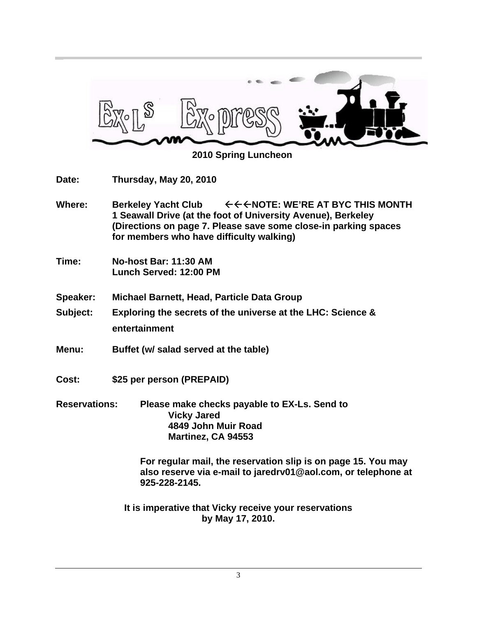

 **2010 Spring Luncheon**

**Date: Thursday, May 20, 2010**

- Where: **Berkeley Yacht Club**  $\leftarrow \leftarrow \leftarrow \text{NOTE}$ : WE'RE AT BYC THIS MONTH **1 Seawall Drive (at the foot of University Avenue), Berkeley (Directions on page 7. Please save some close-in parking spaces for members who have difficulty walking)**
- **Time: No-host Bar: 11:30 AM Lunch Served: 12:00 PM**
- **Speaker: Michael Barnett, Head, Particle Data Group**
- **Subject: Exploring the secrets of the universe at the LHC: Science & entertainment**
- **Menu: Buffet (w/ salad served at the table)**
- **Cost: \$25 per person (PREPAID)**
- **Reservations: Please make checks payable to EX-Ls. Send to Vicky Jared 4849 John Muir Road Martinez, CA 94553**

**For regular mail, the reservation slip is on page 15. You may also reserve via e-mail to jaredrv01@aol.com, or telephone at 925-228-2145.**

**It is imperative that Vicky receive your reservations by May 17, 2010.**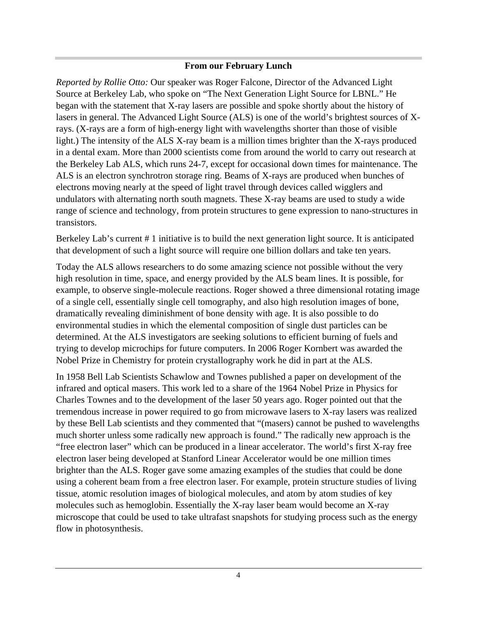#### **From our February Lunch**

*Reported by Rollie Otto:* Our speaker was Roger Falcone, Director of the Advanced Light Source at Berkeley Lab, who spoke on "The Next Generation Light Source for LBNL." He began with the statement that X-ray lasers are possible and spoke shortly about the history of lasers in general. The Advanced Light Source (ALS) is one of the world's brightest sources of Xrays. (X-rays are a form of high-energy light with wavelengths shorter than those of visible light.) The intensity of the ALS X-ray beam is a million times brighter than the X-rays produced in a dental exam. More than 2000 scientists come from around the world to carry out research at the Berkeley Lab ALS, which runs 24-7, except for occasional down times for maintenance. The ALS is an electron synchrotron storage ring. Beams of X-rays are produced when bunches of electrons moving nearly at the speed of light travel through devices called wigglers and undulators with alternating north south magnets. These X-ray beams are used to study a wide range of science and technology, from protein structures to gene expression to nano-structures in transistors.

Berkeley Lab's current # 1 initiative is to build the next generation light source. It is anticipated that development of such a light source will require one billion dollars and take ten years.

Today the ALS allows researchers to do some amazing science not possible without the very high resolution in time, space, and energy provided by the ALS beam lines. It is possible, for example, to observe single-molecule reactions. Roger showed a three dimensional rotating image of a single cell, essentially single cell tomography, and also high resolution images of bone, dramatically revealing diminishment of bone density with age. It is also possible to do environmental studies in which the elemental composition of single dust particles can be determined. At the ALS investigators are seeking solutions to efficient burning of fuels and trying to develop microchips for future computers. In 2006 Roger Kornbert was awarded the Nobel Prize in Chemistry for protein crystallography work he did in part at the ALS.

In 1958 Bell Lab Scientists Schawlow and Townes published a paper on development of the infrared and optical masers. This work led to a share of the 1964 Nobel Prize in Physics for Charles Townes and to the development of the laser 50 years ago. Roger pointed out that the tremendous increase in power required to go from microwave lasers to X-ray lasers was realized by these Bell Lab scientists and they commented that "(masers) cannot be pushed to wavelengths much shorter unless some radically new approach is found." The radically new approach is the "free electron laser" which can be produced in a linear accelerator. The world's first X-ray free electron laser being developed at Stanford Linear Accelerator would be one million times brighter than the ALS. Roger gave some amazing examples of the studies that could be done using a coherent beam from a free electron laser. For example, protein structure studies of living tissue, atomic resolution images of biological molecules, and atom by atom studies of key molecules such as hemoglobin. Essentially the X-ray laser beam would become an X-ray microscope that could be used to take ultrafast snapshots for studying process such as the energy flow in photosynthesis.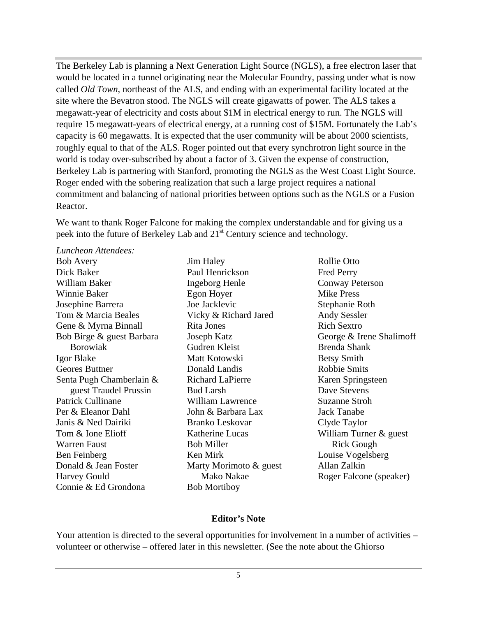The Berkeley Lab is planning a Next Generation Light Source (NGLS), a free electron laser that would be located in a tunnel originating near the Molecular Foundry, passing under what is now called *Old Town*, northeast of the ALS, and ending with an experimental facility located at the site where the Bevatron stood. The NGLS will create gigawatts of power. The ALS takes a megawatt-year of electricity and costs about \$1M in electrical energy to run. The NGLS will require 15 megawatt-years of electrical energy, at a running cost of \$15M. Fortunately the Lab's capacity is 60 megawatts. It is expected that the user community will be about 2000 scientists, roughly equal to that of the ALS. Roger pointed out that every synchrotron light source in the world is today over-subscribed by about a factor of 3. Given the expense of construction, Berkeley Lab is partnering with Stanford, promoting the NGLS as the West Coast Light Source. Roger ended with the sobering realization that such a large project requires a national commitment and balancing of national priorities between options such as the NGLS or a Fusion Reactor.

We want to thank Roger Falcone for making the complex understandable and for giving us a peek into the future of Berkeley Lab and 21<sup>st</sup> Century science and technology.

#### *Luncheon Attendees:*

Dick Baker **Disk Baker** Paul Henrickson **Fred Perry** William Baker **Ingeborg Henle** Conway Peterson Winnie Baker **Egon Hoyer** Mike Press Josephine Barrera Tom & Marcia Beales **The Vicky & Richard Jared** Andy Sessler Gene & Myrna Binnall **Riverse Rich Sexter** Rich Sextro Bob Birge & guest Barbara Igor Blake **International Matt Kotowski** Betsy Smith Geores Buttner **Solution** Donald Landis **Solution** Robbie Smits Senta Pugh Chamberlain & Patrick Cullinane **In the Ulliam Lawrence** Suzanne Stroh Per & Eleanor Dahl **Iohn & Barbara Lax** Jack Tanabe Janis & Ned Dairiki Tom & Ione Elioff Katherine Lucas William Turner & guest Warren Faust **EXECUTE:** Bob Miller **No. 2018** Rick Gough Ben Feinberg and Ken Mirk and Louise Vogelsberg Donald & Jean Foster **Marty Morimoto & guest** Allan Zalkin Harvey Gould Connie & Ed Grondona

Bob Mortiboy

Bob Avery **Example 3** Is Separate Series and Series Series Rollie Otto Borowiak guest Traudel Prussin Bud Larsh Dave Stevens Jim Haley Paul Henrickson Fred Perry Ingeborg Henle Egon Hoyer Mike Press Joe Jacklevic Rita Jones Joseph Katz George & Irene Shalimoff Gudren Kleist Matt Kotowski Donald Landis Richard LaPierre **Richard Lackson** Karen Springsteen Bud Larsh Dave Stevens William Lawrence Suzanne Stroh John & Barbara Lax Branko Leskovar Bob Miller **Example 2018** Rick Gough Ken Mirk **Example 2018** Louise Vogelsberg Mako Nakae Roger Falcone (speaker) Rollie Otto Fred Perry Conway Peterson Mike Press Stephanie Roth Andy Sessler Rich Sextro Brenda Shank Betsy Smith Robbie Smits Karen Springsteen Dave Stevens Suzanne Stroh Jack Tanabe Clyde Taylor Rick Gough Louise Vogelsberg Allan Zalkin

#### **Editor's Note**

Your attention is directed to the several opportunities for involvement in a number of activities – volunteer or otherwise – offered later in this newsletter. (See the note about the Ghiorso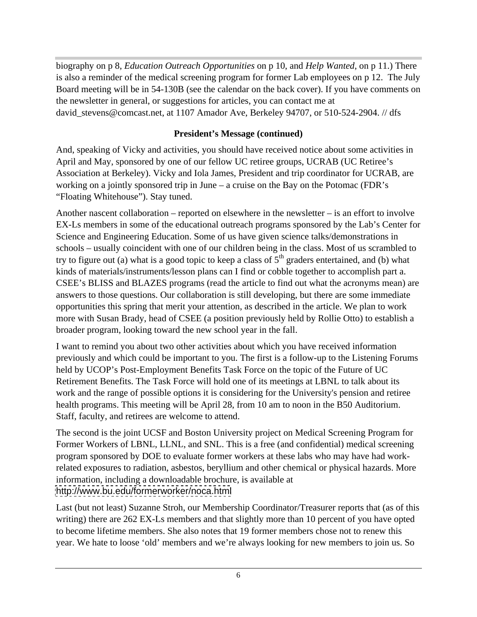biography on p 8, *Education Outreach Opportunities* on p 10, and *Help Wanted*, on p 11.) There is also a reminder of the medical screening program for former Lab employees on p 12. The July Board meeting will be in 54-130B (see the calendar on the back cover). If you have comments on the newsletter in general, or suggestions for articles, you can contact me at david stevens@comcast.net, at 1107 Amador Ave, Berkeley 94707, or 510-524-2904. // dfs

#### **President's Message (continued)**

And, speaking of Vicky and activities, you should have received notice about some activities in April and May, sponsored by one of our fellow UC retiree groups, UCRAB (UC Retiree's Association at Berkeley). Vicky and Iola James, President and trip coordinator for UCRAB, are working on a jointly sponsored trip in June – a cruise on the Bay on the Potomac (FDR's "Floating Whitehouse"). Stay tuned.

Another nascent collaboration – reported on elsewhere in the newsletter – is an effort to involve EX-Ls members in some of the educational outreach programs sponsored by the Lab's Center for Science and Engineering Education. Some of us have given science talks/demonstrations in schools – usually coincident with one of our children being in the class. Most of us scrambled to try to figure out (a) what is a good topic to keep a class of  $5<sup>th</sup>$  graders entertained, and (b) what kinds of materials/instruments/lesson plans can I find or cobble together to accomplish part a. CSEE's BLISS and BLAZES programs (read the article to find out what the acronyms mean) are answers to those questions. Our collaboration is still developing, but there are some immediate opportunities this spring that merit your attention, as described in the article. We plan to work more with Susan Brady, head of CSEE (a position previously held by Rollie Otto) to establish a broader program, looking toward the new school year in the fall.

I want to remind you about two other activities about which you have received information previously and which could be important to you. The first is a follow-up to the Listening Forums held by UCOP's Post-Employment Benefits Task Force on the topic of the Future of UC Retirement Benefits. The Task Force will hold one of its meetings at LBNL to talk about its work and the range of possible options it is considering for the University's pension and retiree health programs. This meeting will be April 28, from 10 am to noon in the B50 Auditorium. Staff, faculty, and retirees are welcome to attend.

The second is the joint UCSF and Boston University project on Medical Screening Program for Former Workers of LBNL, LLNL, and SNL. This is a free (and confidential) medical screening program sponsored by DOE to evaluate former workers at these labs who may have had workrelated exposures to radiation, asbestos, beryllium and other chemical or physical hazards. More information, including a downloadable brochure, is available at <http://www.bu.edu/formerworker/noca.html>

Last (but not least) Suzanne Stroh, our Membership Coordinator/Treasurer reports that (as of this writing) there are 262 EX-Ls members and that slightly more than 10 percent of you have opted to become lifetime members. She also notes that 19 former members chose not to renew this year. We hate to loose 'old' members and we're always looking for new members to join us. So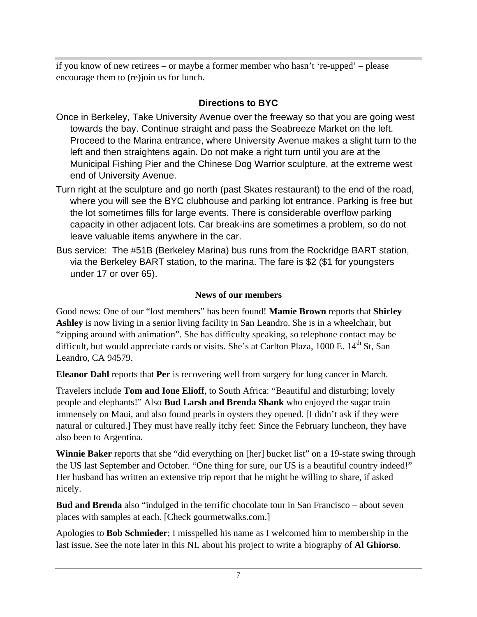if you know of new retirees – or maybe a former member who hasn't 're-upped' – please encourage them to (re)join us for lunch.

#### **Directions to BYC**

- Once in Berkeley, Take University Avenue over the freeway so that you are going west towards the bay. Continue straight and pass the Seabreeze Market on the left. Proceed to the Marina entrance, where University Avenue makes a slight turn to the left and then straightens again. Do not make a right turn until you are at the Municipal Fishing Pier and the Chinese Dog Warrior sculpture, at the extreme west end of University Avenue.
- Turn right at the sculpture and go north (past Skates restaurant) to the end of the road, where you will see the BYC clubhouse and parking lot entrance. Parking is free but the lot sometimes fills for large events. There is considerable overflow parking capacity in other adjacent lots. Car break-ins are sometimes a problem, so do not leave valuable items anywhere in the car.
- Bus service: The #51B (Berkeley Marina) bus runs from the Rockridge BART station, via the Berkeley BART station, to the marina. The fare is \$2 (\$1 for youngsters under 17 or over 65).

#### **News of our members**

Good news: One of our "lost members" has been found! **Mamie Brown** reports that **Shirley Ashley** is now living in a senior living facility in San Leandro. She is in a wheelchair, but "zipping around with animation". She has difficulty speaking, so telephone contact may be difficult, but would appreciate cards or visits. She's at Carlton Plaza, 1000 E. 14<sup>th</sup> St, San Leandro, CA 94579.

**Eleanor Dahl** reports that **Per** is recovering well from surgery for lung cancer in March.

Travelers include **Tom and Ione Elioff**, to South Africa: "Beautiful and disturbing; lovely people and elephants!" Also **Bud Larsh and Brenda Shank** who enjoyed the sugar train immensely on Maui, and also found pearls in oysters they opened. [I didn't ask if they were natural or cultured.] They must have really itchy feet: Since the February luncheon, they have also been to Argentina.

**Winnie Baker** reports that she "did everything on [her] bucket list" on a 19-state swing through the US last September and October. "One thing for sure, our US is a beautiful country indeed!" Her husband has written an extensive trip report that he might be willing to share, if asked nicely.

**Bud and Brenda** also "indulged in the terrific chocolate tour in San Francisco – about seven places with samples at each. [Check gourmetwalks.com.]

Apologies to **Bob Schmieder**; I misspelled his name as I welcomed him to membership in the last issue. See the note later in this NL about his project to write a biography of **Al Ghiorso**.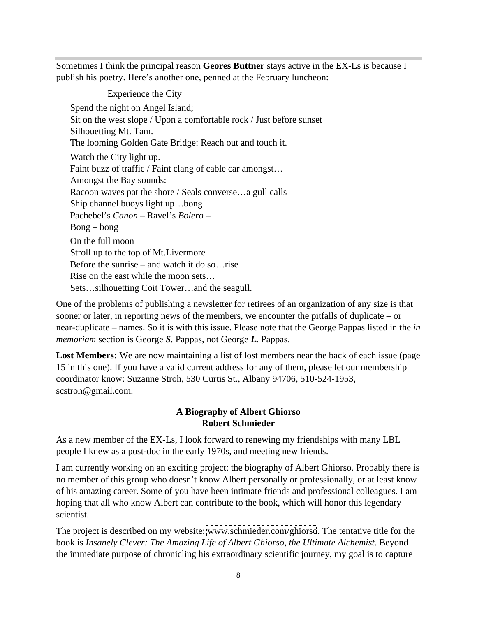Sometimes I think the principal reason **Geores Buttner** stays active in the EX-Ls is because I publish his poetry. Here's another one, penned at the February luncheon:

Experience the City Spend the night on Angel Island; Sit on the west slope / Upon a comfortable rock / Just before sunset Silhouetting Mt. Tam. The looming Golden Gate Bridge: Reach out and touch it. Watch the City light up. Faint buzz of traffic / Faint clang of cable car amongst... Amongst the Bay sounds: Racoon waves pat the shore / Seals converse…a gull calls Ship channel buoys light up…bong Pachebel's *Canon* – Ravel's *Bolero* – Bong – bong On the full moon Stroll up to the top of Mt.Livermore Before the sunrise – and watch it do so…rise Rise on the east while the moon sets... Sets…silhouetting Coit Tower…and the seagull.

One of the problems of publishing a newsletter for retirees of an organization of any size is that sooner or later, in reporting news of the members, we encounter the pitfalls of duplicate – or near-duplicate – names. So it is with this issue. Please note that the George Pappas listed in the *in memoriam* section is George *S.* Pappas, not George *L.* Pappas.

Lost Members: We are now maintaining a list of lost members near the back of each issue (page 15 in this one). If you have a valid current address for any of them, please let our membership coordinator know: Suzanne Stroh, 530 Curtis St., Albany 94706, 510-524-1953, scstroh@gmail.com.

#### **A Biography of Albert Ghiorso Robert Schmieder**

As a new member of the EX-Ls, I look forward to renewing my friendships with many LBL people I knew as a post-doc in the early 1970s, and meeting new friends.

I am currently working on an exciting project: the biography of Albert Ghiorso. Probably there is no member of this group who doesn't know Albert personally or professionally, or at least know of his amazing career. Some of you have been intimate friends and professional colleagues. I am hoping that all who know Albert can contribute to the book, which will honor this legendary scientist.

The project is described on my website: [www.schmieder.com/ghiorso](http://www.schmieder.com/ghiorso). The tentative title for the book is *Insanely Clever: The Amazing Life of Albert Ghiorso, the Ultimate Alchemist*. Beyond the immediate purpose of chronicling his extraordinary scientific journey, my goal is to capture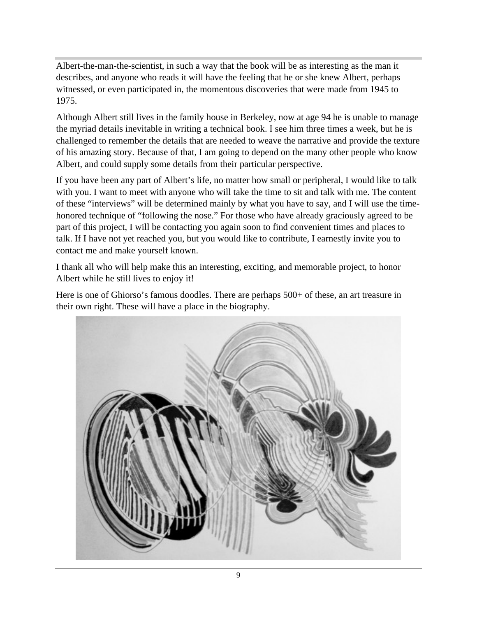Albert-the-man-the-scientist, in such a way that the book will be as interesting as the man it describes, and anyone who reads it will have the feeling that he or she knew Albert, perhaps witnessed, or even participated in, the momentous discoveries that were made from 1945 to 1975.

Although Albert still lives in the family house in Berkeley, now at age 94 he is unable to manage the myriad details inevitable in writing a technical book. I see him three times a week, but he is challenged to remember the details that are needed to weave the narrative and provide the texture of his amazing story. Because of that, I am going to depend on the many other people who know Albert, and could supply some details from their particular perspective.

If you have been any part of Albert's life, no matter how small or peripheral, I would like to talk with you. I want to meet with anyone who will take the time to sit and talk with me. The content of these "interviews" will be determined mainly by what you have to say, and I will use the time honored technique of "following the nose." For those who have already graciously agreed to be part of this project, I will be contacting you again soon to find convenient times and places to talk. If I have not yet reached you, but you would like to contribute, I earnestly invite you to contact me and make yourself known.

I thank all who will help make this an interesting, exciting, and memorable project, to honor Albert while he still lives to enjoy it!

Here is one of Ghiorso's famous doodles. There are perhaps  $500+$  of these, an art treasure in their own right. These will have a place in the biography.

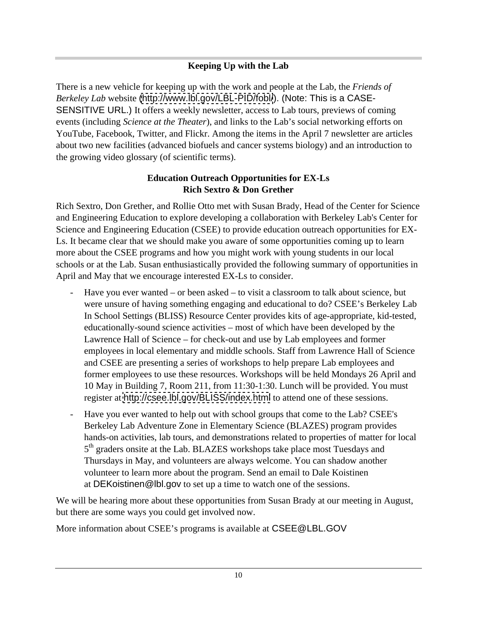#### **Keeping Up with the Lab**

There is a new vehicle for keeping up with the work and people at the Lab, the *Friends of Berkeley Lab* website [\(http://www.lbl.gov/LBL-PID/fobl/](http://www.lbl.gov/LBL-PID/fobl/)). (Note: This is a CASE- SENSITIVE URL.) It offers a weekly newsletter, access to Lab tours, previews of coming events (including *Science at the Theater*), and links to the Lab's social networking efforts on YouTube, Facebook, Twitter, and Flickr. Among the items in the April 7 newsletter are articles about two new facilities (advanced biofuels and cancer systems biology) and an introduction to the growing video glossary (of scientific terms).

#### **Education Outreach Opportunities for EX-Ls Rich Sextro & Don Grether**

Rich Sextro, Don Grether, and Rollie Otto met with Susan Brady, Head of the Center for Science and Engineering Education to explore developing a collaboration with Berkeley Lab's Center for Science and Engineering Education (CSEE) to provide education outreach opportunities for EX- Ls. It became clear that we should make you aware of some opportunities coming up to learn more about the CSEE programs and how you might work with young students in our local schools or at the Lab. Susan enthusiastically provided the following summary of opportunities in April and May that we encourage interested EX-Ls to consider.

- Have you ever wanted or been asked to visit a classroom to talk about science, but were unsure of having something engaging and educational to do? CSEE's Berkeley Lab In School Settings (BLISS) Resource Center provides kits of age-appropriate, kid-tested, educationally-sound science activities – most of which have been developed by the Lawrence Hall of Science – for check-out and use by Lab employees and former employees in local elementary and middle schools. Staff from Lawrence Hall of Science and CSEE are presenting a series of workshops to help prepare Lab employees and former employees to use these resources. Workshops will be held Mondays 26 April and 10 May in Building 7, Room 211, from 11:30-1:30. Lunch will be provided. You must register at <http://csee.lbl.gov/BLISS/index.html> to attend one of these sessions.
- Have you ever wanted to help out with school groups that come to the Lab? CSEE's Berkeley Lab Adventure Zone in Elementary Science (BLAZES) program provides hands-on activities, lab tours, and demonstrations related to properties of matter for local 5<sup>th</sup> graders onsite at the Lab. BLAZES workshops take place most Tuesdays and Thursdays in May, and volunteers are always welcome. You can shadow another volunteer to learn more about the program. Send an email to Dale Koistinen at DEKoistinen@lbl.gov to set up a time to watch one of the sessions.

We will be hearing more about these opportunities from Susan Brady at our meeting in August, but there are some ways you could get involved now.

More information about CSEE's programs is available at CSEE@LBL.GOV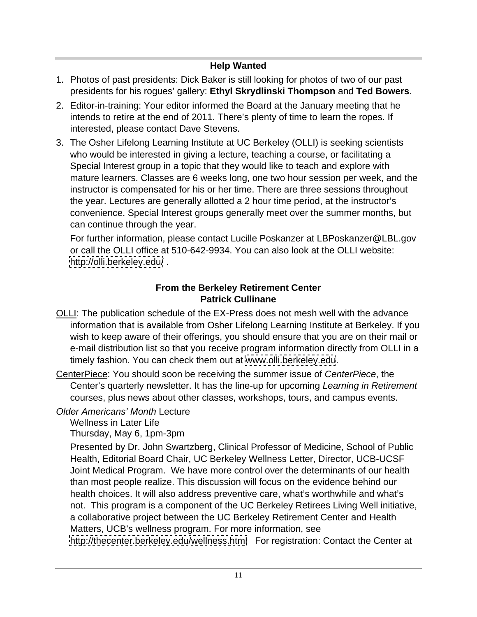#### **Help Wanted**

- 1. Photos of past presidents: Dick Baker is still looking for photos of two of our past presidents for his rogues' gallery: **Ethyl Skrydlinski Thompson** and **Ted Bowers**.
- 2. Editor-in-training: Your editor informed the Board at the January meeting that he intends to retire at the end of 2011. There's plenty of time to learn the ropes. If interested, please contact Dave Stevens.
- 3. The Osher Lifelong Learning Institute at UC Berkeley (OLLI) is seeking scientists who would be interested in giving a lecture, teaching a course, or facilitating a Special Interest group in a topic that they would like to teach and explore with mature learners. Classes are 6 weeks long, one two hour session per week, and the instructor is compensated for his or her time. There are three sessions throughout the year. Lectures are generally allotted a 2 hour time period, at the instructor's convenience. Special Interest groups generally meet over the summer months, but can continue through the year.

For further information, please contact Lucille Poskanzer at LBPoskanzer@LBL.gov or call the OLLI office at 510-642-9934. You can also look at the OLLI website: <http://olli.berkeley.edu/> .

## **From the Berkeley Retirement Center Patrick Cullinane**

- OLLI: The publication schedule of the EX-Press does not mesh well with the advance information that is available from Osher Lifelong Learning Institute at Berkeley. If you wish to keep aware of their offerings, you should ensure that you are on their mail or e-mail distribution list so that you receive program information directly from OLLI in a timely fashion. You can check them out at [www.olli.berkeley.edu](http://www.olli.berkeley.edu).
- CenterPiece: You should soon be receiving the summer issue of CenterPiece, the Center's quarterly newsletter. It has the line-up for upcoming Learning in Retirement courses, plus news about other classes, workshops, tours, and campus events.

## Older Americans' Month Lecture

Wellness in Later Life Thursday, May 6, 1pm-3pm

Presented by Dr. John Swartzberg, Clinical Professor of Medicine, School of Public Health, Editorial Board Chair, UC Berkeley Wellness Letter, Director, UCB-UCSF Joint Medical Program. We have more control over the determinants of our health than most people realize. This discussion will focus on the evidence behind our health choices. It will also address preventive care, what's worthwhile and what's not. This program is a component of the UC Berkeley Retirees Living Well initiative, a collaborative project between the UC Berkeley Retirement Center and Health Matters, UCB's wellness program. For more information, see <http://thecenter.berkeley.edu/wellness.html> For registration: Contact the Center at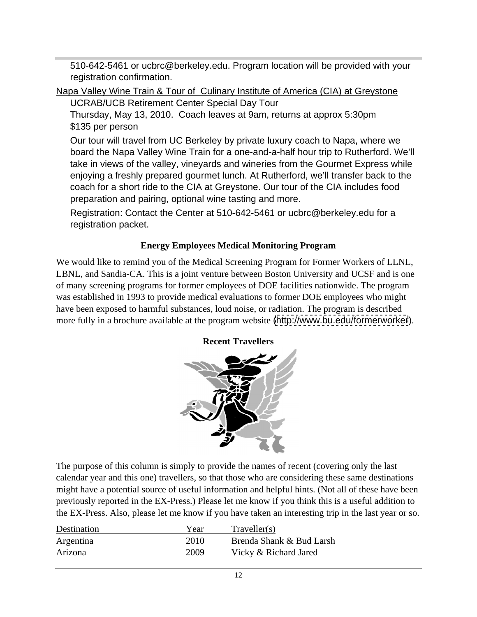510-642-5461 or ucbrc@berkeley.edu. Program location will be provided with your registration confirmation.

Napa Valley Wine Train & Tour of Culinary Institute of America (CIA) at Greystone UCRAB/UCB Retirement Center Special Day Tour

Thursday, May 13, 2010. Coach leaves at 9am, returns at approx 5:30pm \$135 per person

Our tour will travel from UC Berkeley by private luxury coach to Napa, where we board the Napa Valley Wine Train for a one-and-a-half hour trip to Rutherford. We'll take in views of the valley, vineyards and wineries from the Gourmet Express while enjoying a freshly prepared gourmet lunch. At Rutherford, we'll transfer back to the coach for a short ride to the CIA at Greystone. Our tour of the CIA includes food preparation and pairing, optional wine tasting and more.

Registration: Contact the Center at 510-642-5461 or ucbrc@berkeley.edu for a registration packet.

#### **Energy Employees Medical Monitoring Program**

We would like to remind you of the Medical Screening Program for Former Workers of LLNL, LBNL, and Sandia-CA. This is a joint venture between Boston University and UCSF and is one of many screening programs for former employees of DOE facilities nationwide. The program was established in 1993 to provide medical evaluations to former DOE employees who might have been exposed to harmful substances, loud noise, or radiation. The program is described more fully in a brochure available at the program website [\(http://www.bu.edu/formerworker](http://www.bu.edu/formerworker)).

#### **Recent Travellers**



The purpose of this column is simply to provide the names of recent (covering only the last calendar year and this one) travellers, so that those who are considering these same destinations might have a potential source of useful information and helpful hints. (Not all of these have been previously reported in the EX-Press.) Please let me know if you think this is a useful addition to the EX-Press. Also, please let me know if you have taken an interesting trip in the last year or so.

| Destination | Voo.<br>i va | Traveller(s)                                                    |
|-------------|--------------|-----------------------------------------------------------------|
| Argentina   | 2010         | $\mathbf{r}$<br>Brenda Shank & Bud Larsh_                       |
| Arizona     | 2009         | <b>TT</b> .<br>$\mathbf{\cdot}$<br>c Richard Jared<br>10 Z<br>. |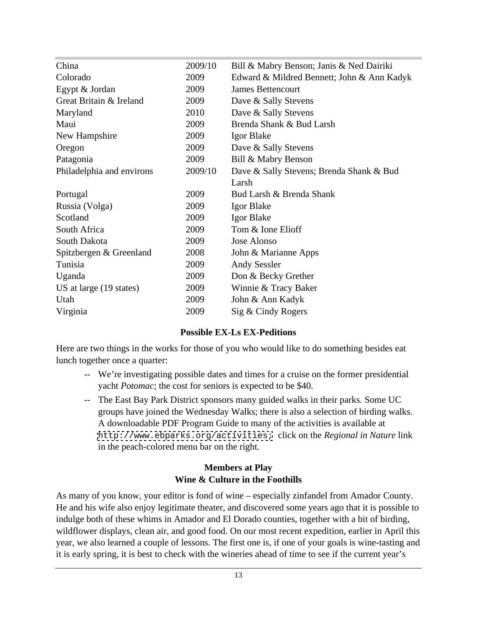| China                     | 2009/10 | Bill & Mabry Benson; Janis & Ned Dairiki   |
|---------------------------|---------|--------------------------------------------|
| Colorado                  | 2009    | Edward & Mildred Bennett; John & Ann Kadyk |
| Egypt & Jordan            | 2009    | James Bettencourt                          |
| Great Britain & Ireland   | 2009    | Dave & Sally Stevens                       |
| Maryland                  | 2010    | Dave & Sally Stevens                       |
| Maui                      | 2009    | Brenda Shank & Bud Larsh                   |
| New Hampshire             | 2009    | Igor Blake                                 |
| Oregon                    | 2009    | Dave & Sally Stevens                       |
| Patagonia                 | 2009    | Bill & Mabry Benson                        |
| Philadelphia and environs | 2009/10 | Dave & Sally Stevens; Brenda Shank & Bud   |
|                           |         | Larsh                                      |
| Portugal                  | 2009    | Bud Larsh & Brenda Shank                   |
| Russia (Volga)            | 2009    | <b>Igor Blake</b>                          |
| Scotland                  | 2009    | <b>Igor Blake</b>                          |
| South Africa              | 2009    | Tom & Ione Elioff                          |
| South Dakota              | 2009    | Jose Alonso                                |
| Spitzbergen & Greenland   | 2008    | John & Marianne Apps                       |
| Tunisia                   | 2009    | <b>Andy Sessler</b>                        |
| Uganda                    | 2009    | Don & Becky Grether                        |
| US at large (19 states)   | 2009    | Winnie & Tracy Baker                       |
| Utah                      | 2009    | John & Ann Kadyk                           |
| Virginia                  | 2009    | Sig & Cindy Rogers                         |
|                           |         |                                            |

#### **Possible EX-Ls EX-Peditions**

Here are two things in the works for those of you who would like to do something besides eat lunch together once a quarter:

- -- We're investigating possible dates and times for a cruise on the former presidential yacht *Potomac*; the cost for seniors is expected to be \$40.
- -- The East Bay Park District sponsors many guided walks in their parks. Some UC groups have joined the Wednesday Walks; there is also a selection of birding walks. A downloadable PDF Program Guide to many of the activities is available at <http://www.ebparks.org/activities;> click on the *Regional in Nature* link in the peach-colored menu bar on the right.

#### **Members at Play Wine & Culture in the Foothills**

As many of you know, your editor is fond of wine – especially zinfandel from Amador County. He and his wife also enjoy legitimate theater, and discovered some years ago that it is possible to indulge both of these whims in Amador and El Dorado counties, together with a bit of birding, wildflower displays, clean air, and good food. On our most recent expedition, earlier in April this year, we also learned a couple of lessons. The first one is, if one of your goals is wine-tasting and it is early spring, it is best to check with the wineries ahead of time to see if the current year's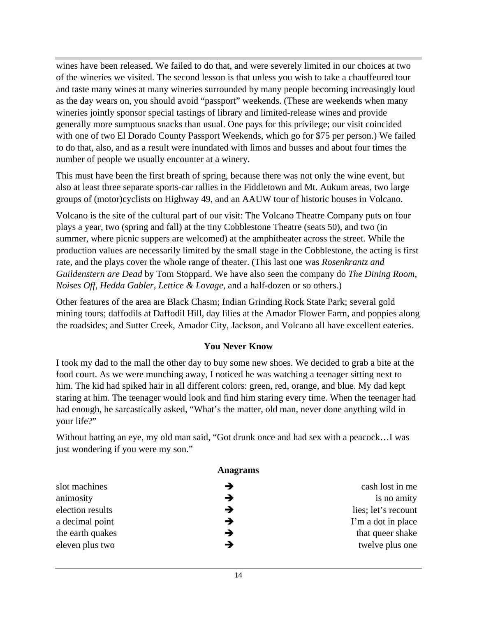wines have been released. We failed to do that, and were severely limited in our choices at two of the wineries we visited. The second lesson is that unless you wish to take a chauffeured tour and taste many wines at many wineries surrounded by many people becoming increasingly loud as the day wears on, you should avoid "passport" weekends. (These are weekends when many wineries jointly sponsor special tastings of library and limited-release wines and provide generally more sumptuous snacks than usual. One pays for this privilege; our visit coincided with one of two El Dorado County Passport Weekends, which go for \$75 per person.) We failed to do that, also, and as a result were inundated with limos and busses and about four times the number of people we usually encounter at a winery.

This must have been the first breath of spring, because there was not only the wine event, but also at least three separate sports-car rallies in the Fiddletown and Mt. Aukum areas, two large groups of (motor)cyclists on Highway 49, and an AAUW tour of historic houses in Volcano.

Volcano is the site of the cultural part of our visit: The Volcano Theatre Company puts on four plays a year, two (spring and fall) at the tiny Cobblestone Theatre (seats 50), and two (in summer, where picnic suppers are welcomed) at the amphitheater across the street. While the production values are necessarily limited by the small stage in the Cobblestone, the acting is first rate, and the plays cover the whole range of theater. (This last one was *Rosenkrantz and Guildenstern are Dead* by Tom Stoppard. We have also seen the company do *The Dining Room, Noises Off*, *Hedda Gabler*, *Lettice & Lovage*, and a half-dozen or so others.)

Other features of the area are Black Chasm; Indian Grinding Rock State Park; several gold mining tours; daffodils at Daffodil Hill, day lilies at the Amador Flower Farm, and poppies along the roadsides; and Sutter Creek, Amador City, Jackson, and Volcano all have excellent eateries.

#### **You Never Know**

I took my dad to the mall the other day to buy some new shoes. We decided to grab a bite at the food court. As we were munching away, I noticed he was watching a teenager sitting next to him. The kid had spiked hair in all different colors: green, red, orange, and blue. My dad kept staring at him. The teenager would look and find him staring every time. When the teenager had had enough, he sarcastically asked, "What's the matter, old man, never done anything wild in your life?"

Without batting an eye, my old man said, "Got drunk once and had sex with a peacock…I was just wondering if you were my son."

| <b>Anagrams</b> |                     |
|-----------------|---------------------|
|                 | cash lost in me     |
|                 | is no amity         |
|                 | lies; let's recount |
|                 | I'm a dot in place  |
|                 | that queer shake    |
|                 | twelve plus one     |
|                 |                     |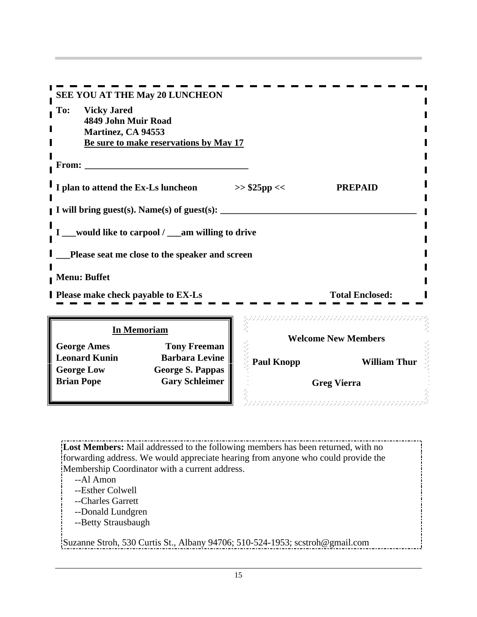| SEE YOU AT THE May 20 LUNCHEON                                                            |  |
|-------------------------------------------------------------------------------------------|--|
| To: Vicky Jared                                                                           |  |
| 4849 John Muir Road<br><b>Martinez, CA 94553</b>                                          |  |
| Be sure to make reservations by May 17                                                    |  |
|                                                                                           |  |
| From:                                                                                     |  |
|                                                                                           |  |
| I I plan to attend the Ex-Ls luncheon<br>$>>$ \$25pp <<<br><b>PREPAID</b>                 |  |
|                                                                                           |  |
| I will bring guest(s). Name(s) of guest(s):                                               |  |
| __would like to carpool / __am willing to drive                                           |  |
|                                                                                           |  |
| Please seat me close to the speaker and screen                                            |  |
|                                                                                           |  |
| <b>Menu: Buffet</b>                                                                       |  |
| <b>I</b> Please make check payable to EX-Ls<br><b>Total Enclosed:</b>                     |  |
|                                                                                           |  |
|                                                                                           |  |
| <b>In Memoriam</b><br><b>Welcome New Members</b>                                          |  |
| <b>George Ames</b><br><b>Tony Freeman</b>                                                 |  |
| <b>Leonard Kunin</b><br><b>Barbara Levine</b><br><b>Paul Knopp</b><br><b>William Thur</b> |  |
| <b>George Low</b><br>George S. Pappas                                                     |  |
| <b>Brian Pope</b><br><b>Gary Schleimer</b><br><b>Greg Vierra</b>                          |  |
| フラフラフラフラフラフラフラフラフラフラフラフラフラフラフ                                                             |  |

**Lost Members:** Mail addressed to the following members has been returned, with no forwarding address. We would appreciate hearing from anyone who could provide the Membership Coordinator with a current address.<br>-- Al Amon

--Al Amon

- --Esther Colwell
- 
- --Charles Garrett<br>--Donald Lundgren --Donald Lundgren
- --Betty Strausbaugh

Suzanne Stroh, 530 Curtis St., Albany 94706; 510-524-1953; scstroh@gmail.com